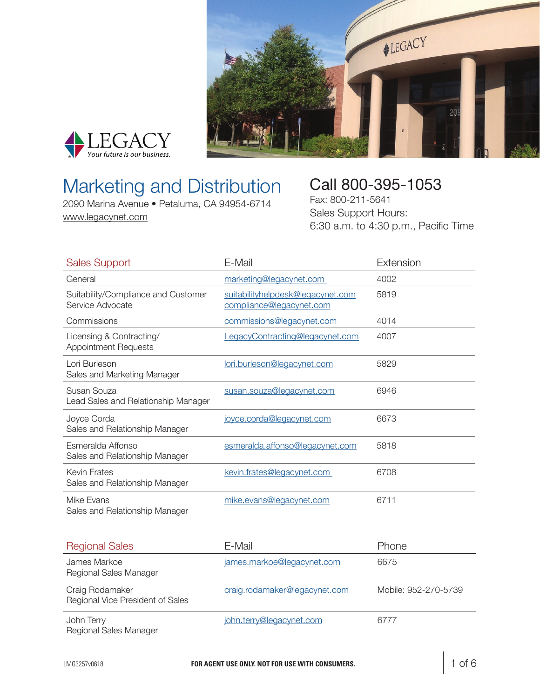



## Marketing and Distribution

2090 Marina Avenue • Petaluma, CA 94954-6714 [www.legacynet.com](http://www.legacynet.com)

### Call 800-395-1053

Fax: 800-211-5641 Sales Support Hours: 6:30 a.m. to 4:30 p.m., Pacific Time

| <b>Sales Support</b>                                    | E-Mail                                                        | Extension            |
|---------------------------------------------------------|---------------------------------------------------------------|----------------------|
| General                                                 | marketing@legacynet.com                                       | 4002                 |
| Suitability/Compliance and Customer<br>Service Advocate | suitabilityhelpdesk@legacynet.com<br>compliance@legacynet.com | 5819                 |
| Commissions                                             | commissions@legacynet.com                                     | 4014                 |
| Licensing & Contracting/<br><b>Appointment Requests</b> | LegacyContracting@legacynet.com                               | 4007                 |
| Lori Burleson<br>Sales and Marketing Manager            | lori.burleson@legacynet.com                                   | 5829                 |
| Susan Souza<br>Lead Sales and Relationship Manager      | susan.souza@legacynet.com                                     | 6946                 |
| Joyce Corda<br>Sales and Relationship Manager           | joyce.corda@legacynet.com                                     | 6673                 |
| Esmeralda Affonso<br>Sales and Relationship Manager     | esmeralda.affonso@legacynet.com                               | 5818                 |
| <b>Kevin Frates</b><br>Sales and Relationship Manager   | kevin.frates@legacynet.com                                    | 6708                 |
| Mike Evans<br>Sales and Relationship Manager            | mike.evans@legacynet.com                                      | 6711                 |
| <b>Regional Sales</b>                                   | E-Mail                                                        | Phone                |
| James Markoe<br>Regional Sales Manager                  | james.markoe@legacynet.com                                    | 6675                 |
| Craig Rodamaker<br>Regional Vice President of Sales     | craig.rodamaker@legacynet.com                                 | Mobile: 952-270-5739 |
| John Terry<br>Regional Sales Manager                    | john.terry@legacynet.com                                      | 6777                 |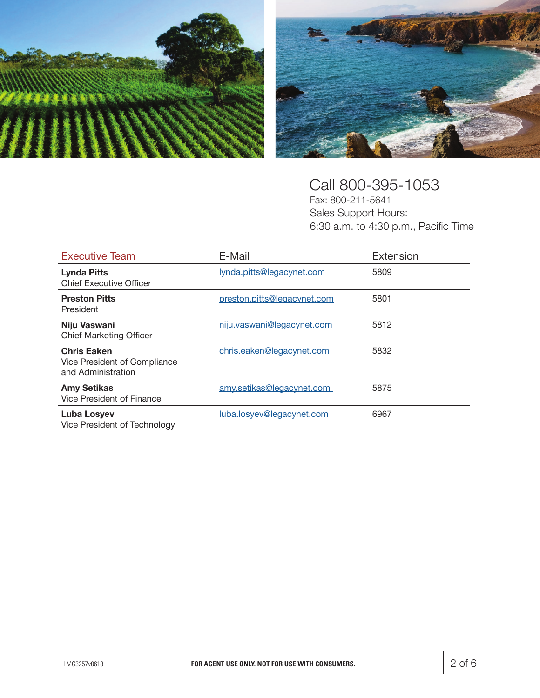



#### Call 800-395-1053

Fax: 800-211-5641 Sales Support Hours: 6:30 a.m. to 4:30 p.m., Pacific Time

| <b>Executive Team</b>                                                    | E-Mail                      | Extension |
|--------------------------------------------------------------------------|-----------------------------|-----------|
| <b>Lynda Pitts</b><br><b>Chief Executive Officer</b>                     | lynda.pitts@legacynet.com   | 5809      |
| <b>Preston Pitts</b><br>President                                        | preston.pitts@legacynet.com | 5801      |
| Niju Vaswani<br><b>Chief Marketing Officer</b>                           | niju.vaswani@legacynet.com  | 5812      |
| <b>Chris Eaken</b><br>Vice President of Compliance<br>and Administration | chris.eaken@legacynet.com   | 5832      |
| <b>Amy Setikas</b><br>Vice President of Finance                          | amy.setikas@legacynet.com   | 5875      |
| <b>Luba Losyev</b><br>Vice President of Technology                       | luba.losyev@legacynet.com   | 6967      |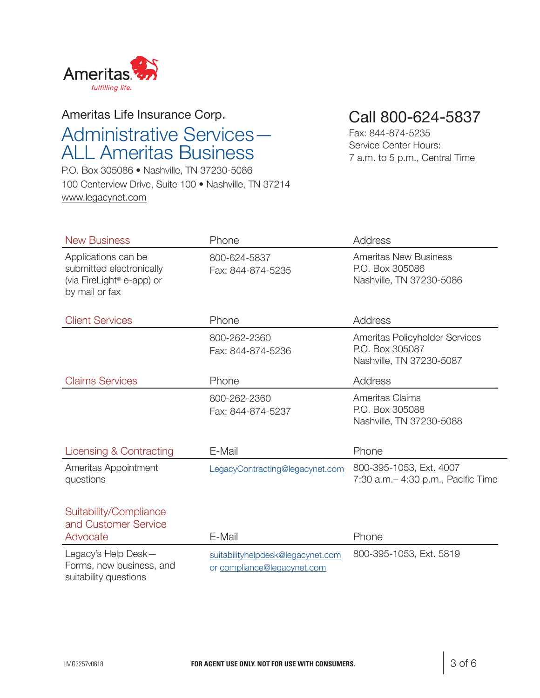

#### Ameritas Life Insurance Corp. Administrative Services— ALL Ameritas Business

P.O. Box 305086 • Nashville, TN 37230-5086 100 Centerview Drive, Suite 100 • Nashville, TN 37214 [www.legacynet.com](http://www.legacynet.com)

Call 800-624-5837

Fax: 844-874-5235 Service Center Hours: 7 a.m. to 5 p.m., Central Time

| <b>New Business</b>                                                                                        | Phone                                                            | Address                                                                       |
|------------------------------------------------------------------------------------------------------------|------------------------------------------------------------------|-------------------------------------------------------------------------------|
| Applications can be<br>submitted electronically<br>(via FireLight <sup>®</sup> e-app) or<br>by mail or fax | 800-624-5837<br>Fax: 844-874-5235                                | <b>Ameritas New Business</b><br>P.O. Box 305086<br>Nashville, TN 37230-5086   |
| <b>Client Services</b>                                                                                     | Phone                                                            | Address                                                                       |
|                                                                                                            | 800-262-2360<br>Fax: 844-874-5236                                | Ameritas Policyholder Services<br>P.O. Box 305087<br>Nashville, TN 37230-5087 |
| <b>Claims Services</b>                                                                                     | Phone                                                            | <b>Address</b>                                                                |
|                                                                                                            | 800-262-2360<br>Fax: 844-874-5237                                | <b>Ameritas Claims</b><br>P.O. Box 305088<br>Nashville, TN 37230-5088         |
| Licensing & Contracting                                                                                    | E-Mail                                                           | Phone                                                                         |
| Ameritas Appointment<br>questions                                                                          | LegacyContracting@legacynet.com                                  | 800-395-1053, Ext. 4007<br>7:30 a.m. - 4:30 p.m., Pacific Time                |
| Suitability/Compliance<br>and Customer Service<br>Advocate                                                 | E-Mail                                                           | Phone                                                                         |
| Legacy's Help Desk-<br>Forms, new business, and<br>suitability questions                                   | suitabilityhelpdesk@legacynet.com<br>or compliance@legacynet.com | 800-395-1053, Ext. 5819                                                       |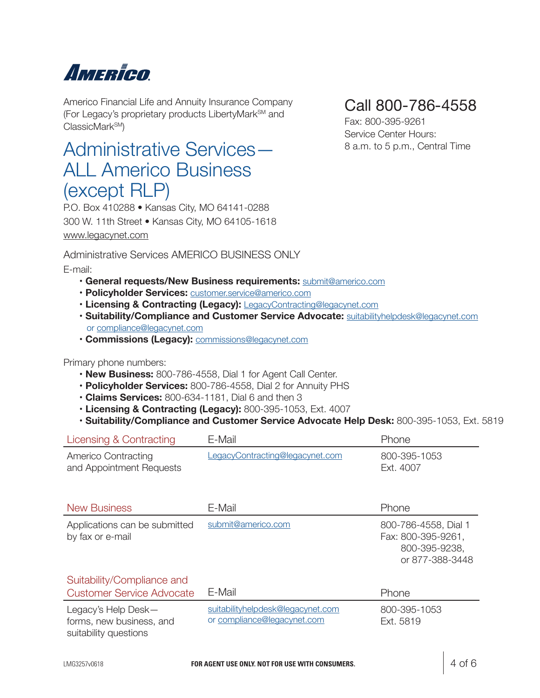# Amerien

Americo Financial Life and Annuity Insurance Company (For Legacy's proprietary products LibertyMarkSM and ClassicMark<sup>SM</sup>)

### Administrative Services— ALL Americo Business (except RLP)

P.O. Box 410288 • Kansas City, MO 64141-0288 300 W. 11th Street • Kansas City, MO 64105-1618 [www.legacynet.com](http://www.legacynet.com)

Administrative Services AMERICO BUSINESS ONLY

E-mail:

- **General requests/New Business requirements:** submit@americo.com
- **Policyholder Services:** customer.service@americo.com
- **Licensing & Contracting (Legacy):** LegacyContracting@legacynet.com
- **Suitability/Compliance and Customer Service Advocate:** suitabilityhelpdesk@legacynet.com or compliance@legacynet.com
- **Commissions (Legacy):** commissions@legacynet.com

Primary phone numbers:

- **New Business:** 800-786-4558, Dial 1 for Agent Call Center.
- **Policyholder Services:** 800-786-4558, Dial 2 for Annuity PHS
- **Claims Services:** 800-634-1181, Dial 6 and then 3
- **Licensing & Contracting (Legacy):** 800-395-1053, Ext. 4007
- **Suitability/Compliance and Customer Service Advocate Help Desk:** 800-395-1053, Ext. 5819

| Licensing & Contracting                                        | E-Mail                                                           | Phone                                                                          |
|----------------------------------------------------------------|------------------------------------------------------------------|--------------------------------------------------------------------------------|
| Americo Contracting<br>and Appointment Requests                | LegacyContracting@legacynet.com                                  | 800-395-1053<br>Ext. 4007                                                      |
| <b>New Business</b>                                            | E-Mail                                                           | Phone                                                                          |
| Applications can be submitted<br>by fax or e-mail              | submit@americo.com                                               | 800-786-4558, Dial 1<br>Fax: 800-395-9261,<br>800-395-9238,<br>or 877-388-3448 |
| Suitability/Compliance and<br><b>Customer Service Advocate</b> | E-Mail                                                           | Phone                                                                          |
| Legacy's Help Desk-<br>forms, new business, and                | suitabilityhelpdesk@legacynet.com<br>or compliance@legacynet.com | 800-395-1053<br>Ext. 5819                                                      |

### Call 800-786-4558

Fax: 800-395-9261 Service Center Hours: 8 a.m. to 5 p.m., Central Time

suitability questions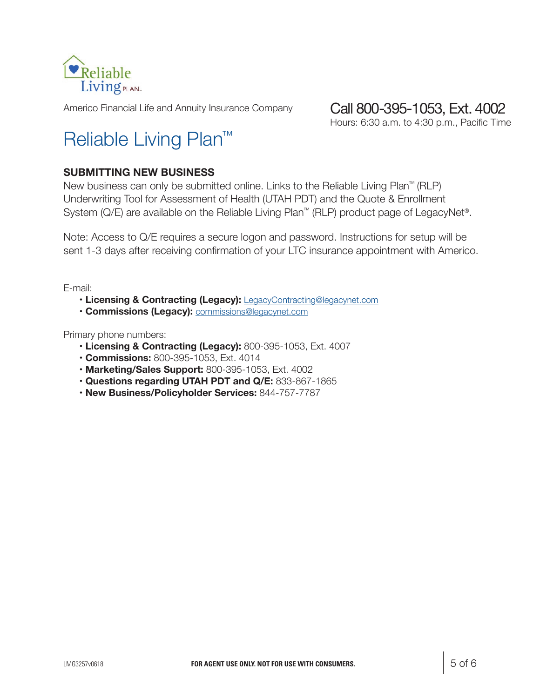

Americo Financial Life and Annuity Insurance Company

#### Call 800-395-1053, Ext. 4002

Hours: 6:30 a.m. to 4:30 p.m., Pacific Time

## Reliable Living Plan™

#### **SUBMITTING NEW BUSINESS**

New business can only be submitted online. Links to the Reliable Living Plan™ (RLP) Underwriting Tool for Assessment of Health (UTAH PDT) and the Quote & Enrollment System (Q/E) are available on the Reliable Living Plan™ (RLP) product page of LegacyNet®.

Note: Access to Q/E requires a secure logon and password. Instructions for setup will be sent 1-3 days after receiving confirmation of your LTC insurance appointment with Americo.

E-mail:

- **Licensing & Contracting (Legacy):** LegacyContracting@legacynet.com
- **Commissions (Legacy):** commissions@legacynet.com

Primary phone numbers:

- **Licensing & Contracting (Legacy):** 800-395-1053, Ext. 4007
- **Commissions:** 800-395-1053, Ext. 4014
- **Marketing/Sales Support:** 800-395-1053, Ext. 4002
- **Questions regarding UTAH PDT and Q/E:** 833-867-1865
- **New Business/Policyholder Services:** 844-757-7787